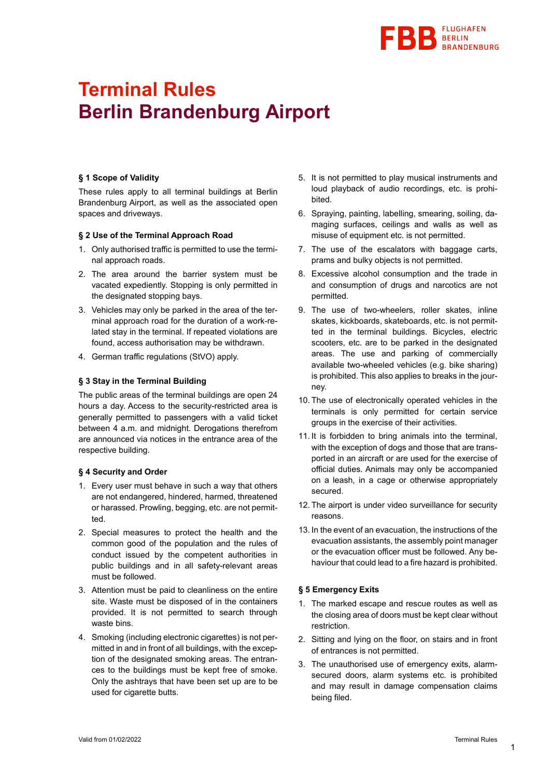

# **Terminal Rules Berlin Brandenburg Airport**

## **§ 1 Scope of Validity**

These rules apply to all terminal buildings at Berlin Brandenburg Airport, as well as the associated open spaces and driveways.

#### **§ 2 Use of the Terminal Approach Road**

- 1. Only authorised traffic is permitted to use the terminal approach roads.
- 2. The area around the barrier system must be vacated expediently. Stopping is only permitted in the designated stopping bays.
- 3. Vehicles may only be parked in the area of the terminal approach road for the duration of a work-related stay in the terminal. If repeated violations are found, access authorisation may be withdrawn.
- 4. German traffic regulations (StVO) apply.

## **§ 3 Stay in the Terminal Building**

The public areas of the terminal buildings are open 24 hours a day. Access to the security-restricted area is generally permitted to passengers with a valid ticket between 4 a.m. and midnight. Derogations therefrom are announced via notices in the entrance area of the respective building.

## **§ 4 Security and Order**

- 1. Every user must behave in such a way that others are not endangered, hindered, harmed, threatened or harassed. Prowling, begging, etc. are not permitted.
- 2. Special measures to protect the health and the common good of the population and the rules of conduct issued by the competent authorities in public buildings and in all safety-relevant areas must be followed.
- 3. Attention must be paid to cleanliness on the entire site. Waste must be disposed of in the containers provided. It is not permitted to search through waste bins.
- 4. Smoking (including electronic cigarettes) is not permitted in and in front of all buildings, with the exception of the designated smoking areas. The entrances to the buildings must be kept free of smoke. Only the ashtrays that have been set up are to be used for cigarette butts.
- 5. It is not permitted to play musical instruments and loud playback of audio recordings, etc. is prohibited.
- 6. Spraying, painting, labelling, smearing, soiling, damaging surfaces, ceilings and walls as well as misuse of equipment etc. is not permitted.
- 7. The use of the escalators with baggage carts, prams and bulky objects is not permitted.
- 8. Excessive alcohol consumption and the trade in and consumption of drugs and narcotics are not permitted.
- 9. The use of two-wheelers, roller skates, inline skates, kickboards, skateboards, etc. is not permitted in the terminal buildings. Bicycles, electric scooters, etc. are to be parked in the designated areas. The use and parking of commercially available two-wheeled vehicles (e.g. bike sharing) is prohibited. This also applies to breaks in the journey.
- 10. The use of electronically operated vehicles in the terminals is only permitted for certain service groups in the exercise of their activities.
- 11. It is forbidden to bring animals into the terminal, with the exception of dogs and those that are transported in an aircraft or are used for the exercise of official duties. Animals may only be accompanied on a leash, in a cage or otherwise appropriately secured.
- 12. The airport is under video surveillance for security reasons.
- 13. In the event of an evacuation, the instructions of the evacuation assistants, the assembly point manager or the evacuation officer must be followed. Any behaviour that could lead to a fire hazard is prohibited.

## **§ 5 Emergency Exits**

- 1. The marked escape and rescue routes as well as the closing area of doors must be kept clear without restriction.
- 2. Sitting and lying on the floor, on stairs and in front of entrances is not permitted.
- 3. The unauthorised use of emergency exits, alarmsecured doors, alarm systems etc. is prohibited and may result in damage compensation claims being filed.